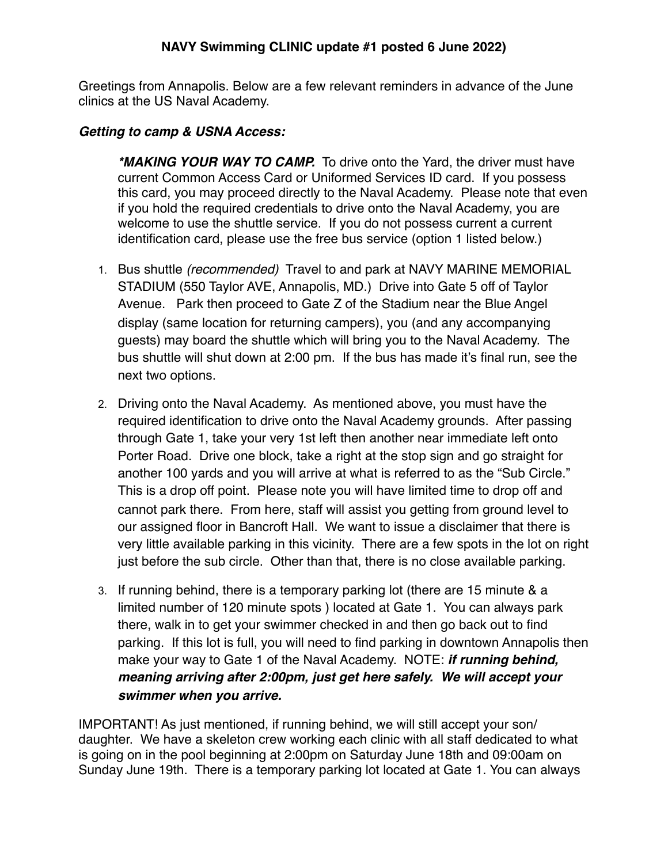Greetings from Annapolis. Below are a few relevant reminders in advance of the June clinics at the US Naval Academy.

## *Getting to camp & USNA Access:*

*\*MAKING YOUR WAY TO CAMP.*To drive onto the Yard, the driver must have current Common Access Card or Uniformed Services ID card. If you possess this card, you may proceed directly to the Naval Academy. Please note that even if you hold the required credentials to drive onto the Naval Academy, you are welcome to use the shuttle service. If you do not possess current a current identification card, please use the free bus service (option 1 listed below.)

- 1. Bus shuttle *(recommended)* Travel to and park at NAVY MARINE MEMORIAL STADIUM (550 Taylor AVE, Annapolis, MD.) Drive into Gate 5 off of Taylor Avenue. Park then proceed to Gate Z of the Stadium near the Blue Angel display (same location for returning campers), you (and any accompanying guests) may board the shuttle which will bring you to the Naval Academy. The bus shuttle will shut down at 2:00 pm. If the bus has made it's final run, see the next two options.
- 2. Driving onto the Naval Academy. As mentioned above, you must have the required identification to drive onto the Naval Academy grounds. After passing through Gate 1, take your very 1st left then another near immediate left onto Porter Road. Drive one block, take a right at the stop sign and go straight for another 100 yards and you will arrive at what is referred to as the "Sub Circle." This is a drop off point. Please note you will have limited time to drop off and cannot park there. From here, staff will assist you getting from ground level to our assigned floor in Bancroft Hall. We want to issue a disclaimer that there is very little available parking in this vicinity. There are a few spots in the lot on right just before the sub circle. Other than that, there is no close available parking.
- 3. If running behind, there is a temporary parking lot (there are 15 minute & a limited number of 120 minute spots ) located at Gate 1. You can always park there, walk in to get your swimmer checked in and then go back out to find parking. If this lot is full, you will need to find parking in downtown Annapolis then make your way to Gate 1 of the Naval Academy. NOTE: *if running behind, meaning arriving after 2:00pm, just get here safely. We will accept your swimmer when you arrive.*

IMPORTANT! As just mentioned, if running behind, we will still accept your son/ daughter. We have a skeleton crew working each clinic with all staff dedicated to what is going on in the pool beginning at 2:00pm on Saturday June 18th and 09:00am on Sunday June 19th. There is a temporary parking lot located at Gate 1. You can always